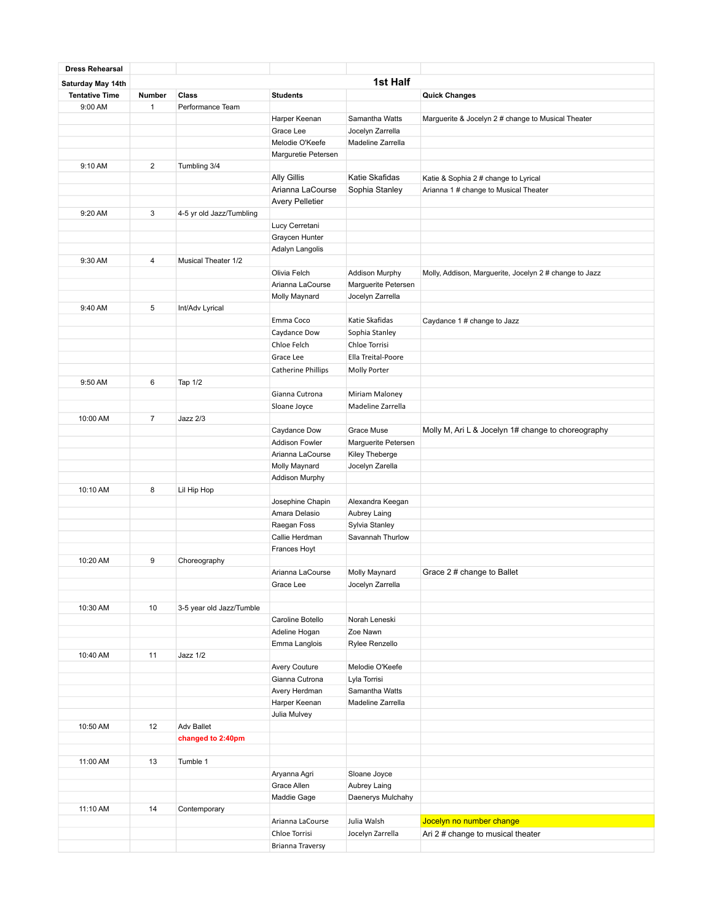| <b>Dress Rehearsal</b> |                |                          |                        |                                     |                                                        |
|------------------------|----------------|--------------------------|------------------------|-------------------------------------|--------------------------------------------------------|
| Saturday May 14th      |                |                          |                        | 1st Half                            |                                                        |
| <b>Tentative Time</b>  | Number         | Class                    | <b>Students</b>        |                                     | <b>Quick Changes</b>                                   |
| 9:00 AM                | $\mathbf{1}$   | Performance Team         |                        |                                     |                                                        |
|                        |                |                          | Harper Keenan          | Samantha Watts                      | Marguerite & Jocelyn 2 # change to Musical Theater     |
|                        |                |                          | Grace Lee              | Jocelyn Zarrella                    |                                                        |
|                        |                |                          | Melodie O'Keefe        | Madeline Zarrella                   |                                                        |
|                        |                |                          | Marguretie Petersen    |                                     |                                                        |
| 9:10 AM                | $\overline{2}$ | Tumbling 3/4             |                        |                                     |                                                        |
|                        |                |                          | <b>Ally Gillis</b>     | Katie Skafidas                      | Katie & Sophia 2 # change to Lyrical                   |
|                        |                |                          | Arianna LaCourse       | Sophia Stanley                      | Arianna 1 # change to Musical Theater                  |
|                        |                |                          | <b>Avery Pelletier</b> |                                     |                                                        |
| 9:20 AM                | 3              | 4-5 yr old Jazz/Tumbling |                        |                                     |                                                        |
|                        |                |                          | Lucy Cerretani         |                                     |                                                        |
|                        |                |                          | Graycen Hunter         |                                     |                                                        |
|                        |                |                          | Adalyn Langolis        |                                     |                                                        |
| 9:30 AM                | 4              | Musical Theater 1/2      |                        |                                     |                                                        |
|                        |                |                          | Olivia Felch           | Addison Murphy                      | Molly, Addison, Marguerite, Jocelyn 2 # change to Jazz |
|                        |                |                          | Arianna LaCourse       | Marguerite Petersen                 |                                                        |
|                        |                |                          | Molly Maynard          | Jocelyn Zarrella                    |                                                        |
| 9:40 AM                | 5              | Int/Adv Lyrical          |                        |                                     |                                                        |
|                        |                |                          | Emma Coco              | Katie Skafidas                      | Caydance 1 # change to Jazz                            |
|                        |                |                          | Caydance Dow           | Sophia Stanley                      |                                                        |
|                        |                |                          |                        |                                     |                                                        |
|                        |                |                          | Chloe Felch            | Chloe Torrisi<br>Ella Treital-Poore |                                                        |
|                        |                |                          | Grace Lee              |                                     |                                                        |
|                        |                |                          | Catherine Phillips     | Molly Porter                        |                                                        |
| 9:50 AM                | 6              | Tap 1/2                  |                        |                                     |                                                        |
|                        |                |                          | Gianna Cutrona         | Miriam Maloney                      |                                                        |
|                        |                |                          | Sloane Joyce           | Madeline Zarrella                   |                                                        |
| 10:00 AM               | $\overline{7}$ | Jazz 2/3                 |                        |                                     |                                                        |
|                        |                |                          | Caydance Dow           | Grace Muse                          | Molly M, Ari L & Jocelyn 1# change to choreography     |
|                        |                |                          | <b>Addison Fowler</b>  | Marguerite Petersen                 |                                                        |
|                        |                |                          | Arianna LaCourse       | Kiley Theberge                      |                                                        |
|                        |                |                          | Molly Maynard          | Jocelyn Zarella                     |                                                        |
|                        |                |                          | Addison Murphy         |                                     |                                                        |
| 10:10 AM               | 8              | Lil Hip Hop              |                        |                                     |                                                        |
|                        |                |                          | Josephine Chapin       | Alexandra Keegan                    |                                                        |
|                        |                |                          | Amara Delasio          | Aubrey Laing                        |                                                        |
|                        |                |                          | Raegan Foss            | Sylvia Stanley                      |                                                        |
|                        |                |                          | Callie Herdman         | Savannah Thurlow                    |                                                        |
|                        |                |                          | Frances Hoyt           |                                     |                                                        |
| 10:20 AM               | 9              | Choreography             |                        |                                     |                                                        |
|                        |                |                          | Arianna LaCourse       | Molly Maynard                       | Grace 2 # change to Ballet                             |
|                        |                |                          | Grace Lee              | Jocelyn Zarrella                    |                                                        |
|                        |                |                          |                        |                                     |                                                        |
| 10:30 AM               | 10             | 3-5 year old Jazz/Tumble |                        |                                     |                                                        |
|                        |                |                          | Caroline Botello       | Norah Leneski                       |                                                        |
|                        |                |                          | Adeline Hogan          | Zoe Nawn                            |                                                        |
|                        |                |                          | Emma Langlois          | Rylee Renzello                      |                                                        |
| 10:40 AM               | 11             | Jazz 1/2                 |                        |                                     |                                                        |
|                        |                |                          | Avery Couture          | Melodie O'Keefe                     |                                                        |
|                        |                |                          | Gianna Cutrona         | Lyla Torrisi                        |                                                        |
|                        |                |                          | Avery Herdman          | Samantha Watts                      |                                                        |
|                        |                |                          | Harper Keenan          | Madeline Zarrella                   |                                                        |
|                        |                |                          | Julia Mulvey           |                                     |                                                        |
| 10:50 AM               | 12             | <b>Adv Ballet</b>        |                        |                                     |                                                        |
|                        |                | changed to 2:40pm        |                        |                                     |                                                        |
|                        |                |                          |                        |                                     |                                                        |
| 11:00 AM               | 13             | Tumble 1                 |                        |                                     |                                                        |
|                        |                |                          | Aryanna Agri           | Sloane Joyce                        |                                                        |
|                        |                |                          | Grace Allen            | Aubrey Laing                        |                                                        |
|                        |                |                          | Maddie Gage            | Daenerys Mulchahy                   |                                                        |
| 11:10 AM               | 14             | Contemporary             |                        |                                     |                                                        |
|                        |                |                          | Arianna LaCourse       | Julia Walsh                         | Jocelyn no number change                               |
|                        |                |                          | Chloe Torrisi          | Jocelyn Zarrella                    | Ari 2 # change to musical theater                      |
|                        |                |                          | Brianna Traversy       |                                     |                                                        |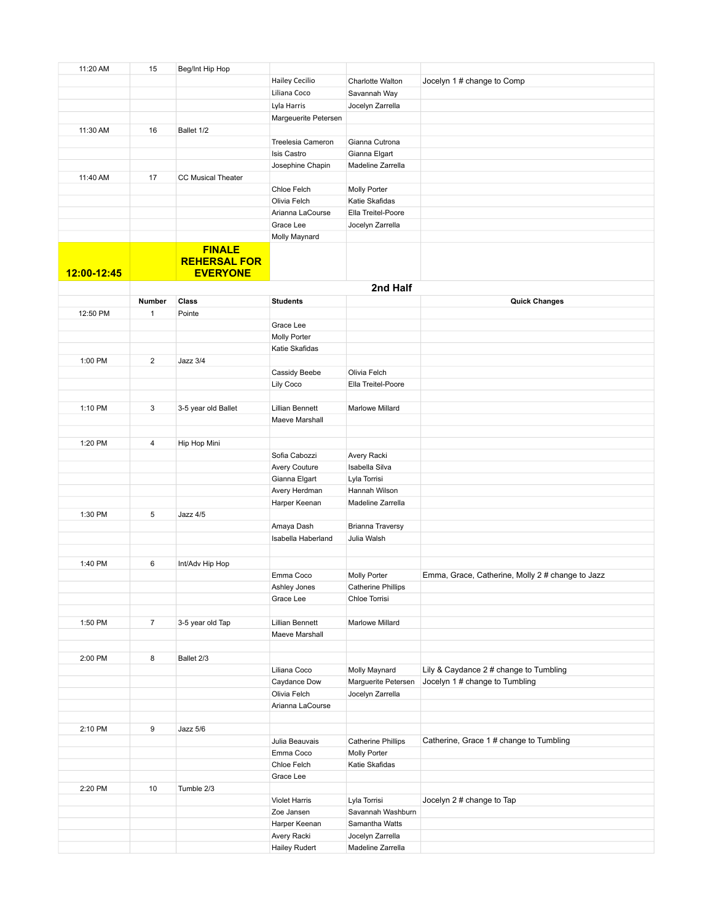| 11:20 AM    | 15             | Beg/Int Hip Hop           |                        |                           |                                                  |
|-------------|----------------|---------------------------|------------------------|---------------------------|--------------------------------------------------|
|             |                |                           |                        | Charlotte Walton          |                                                  |
|             |                |                           | <b>Hailey Cecilio</b>  |                           | Jocelyn 1# change to Comp                        |
|             |                |                           | Liliana Coco           | Savannah Way              |                                                  |
|             |                |                           | Lyla Harris            | Jocelyn Zarrella          |                                                  |
|             |                |                           | Margeuerite Petersen   |                           |                                                  |
|             |                |                           |                        |                           |                                                  |
| 11:30 AM    | 16             | Ballet 1/2                |                        |                           |                                                  |
|             |                |                           | Treelesia Cameron      | Gianna Cutrona            |                                                  |
|             |                |                           | Isis Castro            | Gianna Elgart             |                                                  |
|             |                |                           | Josephine Chapin       | Madeline Zarrella         |                                                  |
| 11:40 AM    | 17             | <b>CC Musical Theater</b> |                        |                           |                                                  |
|             |                |                           |                        |                           |                                                  |
|             |                |                           | Chloe Felch            | Molly Porter              |                                                  |
|             |                |                           | Olivia Felch           | Katie Skafidas            |                                                  |
|             |                |                           | Arianna LaCourse       | Ella Treitel-Poore        |                                                  |
|             |                |                           | Grace Lee              | Jocelyn Zarrella          |                                                  |
|             |                |                           | Molly Maynard          |                           |                                                  |
|             |                |                           |                        |                           |                                                  |
|             |                | <b>FINALE</b>             |                        |                           |                                                  |
|             |                | <b>REHERSAL FOR</b>       |                        |                           |                                                  |
| 12:00-12:45 |                | <b>EVERYONE</b>           |                        |                           |                                                  |
|             |                |                           |                        |                           |                                                  |
|             |                |                           |                        | 2nd Half                  |                                                  |
|             | Number         | Class                     | <b>Students</b>        |                           | <b>Quick Changes</b>                             |
| 12:50 PM    | 1              | Pointe                    |                        |                           |                                                  |
|             |                |                           | Grace Lee              |                           |                                                  |
|             |                |                           |                        |                           |                                                  |
|             |                |                           | Molly Porter           |                           |                                                  |
|             |                |                           | Katie Skafidas         |                           |                                                  |
| 1:00 PM     | $\overline{2}$ | Jazz 3/4                  |                        |                           |                                                  |
|             |                |                           | Cassidy Beebe          | Olivia Felch              |                                                  |
|             |                |                           |                        |                           |                                                  |
|             |                |                           | Lily Coco              | Ella Treitel-Poore        |                                                  |
|             |                |                           |                        |                           |                                                  |
| 1:10 PM     | 3              | 3-5 year old Ballet       | <b>Lillian Bennett</b> | Marlowe Millard           |                                                  |
|             |                |                           | Maeve Marshall         |                           |                                                  |
|             |                |                           |                        |                           |                                                  |
|             |                |                           |                        |                           |                                                  |
| 1:20 PM     | 4              | Hip Hop Mini              |                        |                           |                                                  |
|             |                |                           | Sofia Cabozzi          | Avery Racki               |                                                  |
|             |                |                           | Avery Couture          | Isabella Silva            |                                                  |
|             |                |                           | Gianna Elgart          | Lyla Torrisi              |                                                  |
|             |                |                           |                        |                           |                                                  |
|             |                |                           | Avery Herdman          | Hannah Wilson             |                                                  |
|             |                |                           | Harper Keenan          | Madeline Zarrella         |                                                  |
| 1:30 PM     | 5              | Jazz 4/5                  |                        |                           |                                                  |
|             |                |                           | Amaya Dash             | <b>Brianna Traversy</b>   |                                                  |
|             |                |                           | Isabella Haberland     | Julia Walsh               |                                                  |
|             |                |                           |                        |                           |                                                  |
|             |                |                           |                        |                           |                                                  |
| 1:40 PM     | 6              | Int/Adv Hip Hop           |                        |                           |                                                  |
|             |                |                           | Emma Coco              | Molly Porter              | Emma, Grace, Catherine, Molly 2 # change to Jazz |
|             |                |                           | Ashley Jones           | <b>Catherine Phillips</b> |                                                  |
|             |                |                           |                        |                           |                                                  |
|             |                |                           | Grace Lee              | Chloe Torrisi             |                                                  |
|             |                |                           |                        |                           |                                                  |
| 1:50 PM     | $\overline{7}$ | 3-5 year old Tap          | <b>Lillian Bennett</b> | Marlowe Millard           |                                                  |
|             |                |                           | Maeve Marshall         |                           |                                                  |
|             |                |                           |                        |                           |                                                  |
|             |                |                           |                        |                           |                                                  |
| 2:00 PM     | 8              | Ballet 2/3                |                        |                           |                                                  |
|             |                |                           | Liliana Coco           | Molly Maynard             | Lily & Caydance 2 # change to Tumbling           |
|             |                |                           | Caydance Dow           | Marguerite Petersen       | Jocelyn 1 # change to Tumbling                   |
|             |                |                           | Olivia Felch           | Jocelyn Zarrella          |                                                  |
|             |                |                           | Arianna LaCourse       |                           |                                                  |
|             |                |                           |                        |                           |                                                  |
|             |                |                           |                        |                           |                                                  |
| 2:10 PM     | 9              | Jazz 5/6                  |                        |                           |                                                  |
|             |                |                           | Julia Beauvais         | <b>Catherine Phillips</b> | Catherine, Grace 1 # change to Tumbling          |
|             |                |                           | Emma Coco              | Molly Porter              |                                                  |
|             |                |                           |                        |                           |                                                  |
|             |                |                           | Chloe Felch            | Katie Skafidas            |                                                  |
|             |                |                           | Grace Lee              |                           |                                                  |
| 2:20 PM     | 10             | Tumble 2/3                |                        |                           |                                                  |
|             |                |                           | <b>Violet Harris</b>   | Lyla Torrisi              | Jocelyn 2 # change to Tap                        |
|             |                |                           | Zoe Jansen             | Savannah Washburn         |                                                  |
|             |                |                           |                        |                           |                                                  |
|             |                |                           | Harper Keenan          | Samantha Watts            |                                                  |
|             |                |                           | Avery Racki            | Jocelyn Zarrella          |                                                  |
|             |                |                           | <b>Hailey Rudert</b>   | Madeline Zarrella         |                                                  |